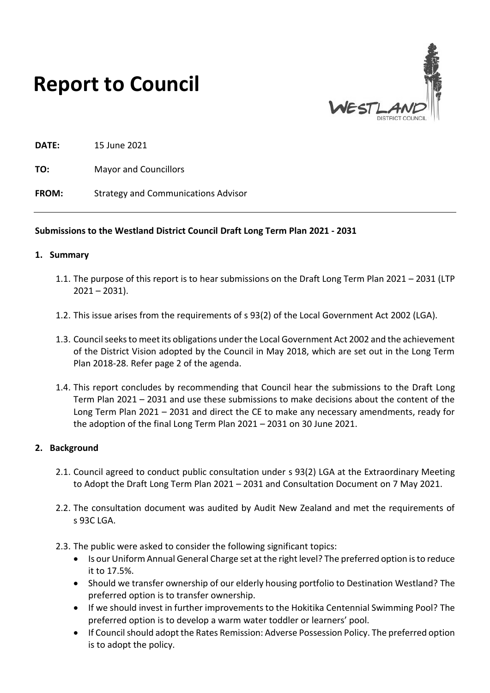



**DATE:** 15 June 2021

**TO:** Mayor and Councillors

**FROM:** Strategy and Communications Advisor

#### **Submissions to the Westland District Council Draft Long Term Plan 2021 - 2031**

#### **1. Summary**

- 1.1. The purpose of this report is to hear submissions on the Draft Long Term Plan 2021 2031 (LTP  $2021 - 2031$ ).
- 1.2. This issue arises from the requirements of s 93(2) of the Local Government Act 2002 (LGA).
- 1.3. Council seeks to meet its obligations under the Local Government Act 2002 and the achievement of the District Vision adopted by the Council in May 2018, which are set out in the Long Term Plan 2018-28. Refer page 2 of the agenda.
- 1.4. This report concludes by recommending that Council hear the submissions to the Draft Long Term Plan 2021 – 2031 and use these submissions to make decisions about the content of the Long Term Plan 2021 – 2031 and direct the CE to make any necessary amendments, ready for the adoption of the final Long Term Plan 2021 – 2031 on 30 June 2021.

#### **2. Background**

- 2.1. Council agreed to conduct public consultation under s 93(2) LGA at the Extraordinary Meeting to Adopt the Draft Long Term Plan 2021 – 2031 and Consultation Document on 7 May 2021.
- 2.2. The consultation document was audited by Audit New Zealand and met the requirements of  $S$  93C LGA.
- 2.3. The public were asked to consider the following significant topics:
	- Is our Uniform Annual General Charge set at the right level? The preferred option is to reduce it to 17.5%.
	- Should we transfer ownership of our elderly housing portfolio to Destination Westland? The preferred option is to transfer ownership.
	- If we should invest in further improvements to the Hokitika Centennial Swimming Pool? The preferred option is to develop a warm water toddler or learners' pool.
	- If Council should adopt the Rates Remission: Adverse Possession Policy. The preferred option is to adopt the policy.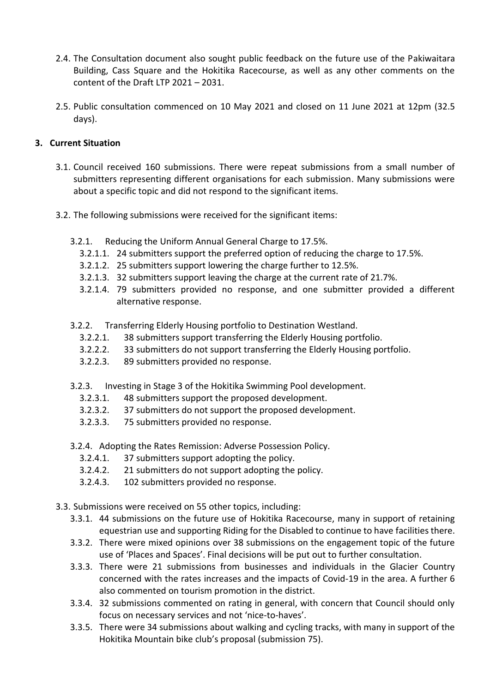- 2.4. The Consultation document also sought public feedback on the future use of the Pakiwaitara Building, Cass Square and the Hokitika Racecourse, as well as any other comments on the content of the Draft LTP 2021 – 2031.
- 2.5. Public consultation commenced on 10 May 2021 and closed on 11 June 2021 at 12pm (32.5 days).

## **3. Current Situation**

- 3.1. Council received 160 submissions. There were repeat submissions from a small number of submitters representing different organisations for each submission. Many submissions were about a specific topic and did not respond to the significant items.
- 3.2. The following submissions were received for the significant items:
	- 3.2.1. Reducing the Uniform Annual General Charge to 17.5%.
		- 3.2.1.1. 24 submitters support the preferred option of reducing the charge to 17.5%.
		- 3.2.1.2. 25 submitters support lowering the charge further to 12.5%.
		- 3.2.1.3. 32 submitters support leaving the charge at the current rate of 21.7%.
		- 3.2.1.4. 79 submitters provided no response, and one submitter provided a different alternative response.
	- 3.2.2. Transferring Elderly Housing portfolio to Destination Westland.
		- 3.2.2.1. 38 submitters support transferring the Elderly Housing portfolio.
		- 3.2.2.2. 33 submitters do not support transferring the Elderly Housing portfolio.
		- 3.2.2.3. 89 submitters provided no response.
	- 3.2.3. Investing in Stage 3 of the Hokitika Swimming Pool development.
		- 3.2.3.1. 48 submitters support the proposed development.
		- 3.2.3.2. 37 submitters do not support the proposed development.
		- 3.2.3.3. 75 submitters provided no response.
	- 3.2.4. Adopting the Rates Remission: Adverse Possession Policy.
		- 3.2.4.1. 37 submitters support adopting the policy.
		- 3.2.4.2. 21 submitters do not support adopting the policy.
		- 3.2.4.3. 102 submitters provided no response.
- 3.3. Submissions were received on 55 other topics, including:
	- 3.3.1. 44 submissions on the future use of Hokitika Racecourse, many in support of retaining equestrian use and supporting Riding for the Disabled to continue to have facilities there.
	- 3.3.2. There were mixed opinions over 38 submissions on the engagement topic of the future use of 'Places and Spaces'. Final decisions will be put out to further consultation.
	- 3.3.3. There were 21 submissions from businesses and individuals in the Glacier Country concerned with the rates increases and the impacts of Covid-19 in the area. A further 6 also commented on tourism promotion in the district.
	- 3.3.4. 32 submissions commented on rating in general, with concern that Council should only focus on necessary services and not 'nice-to-haves'.
	- 3.3.5. There were 34 submissions about walking and cycling tracks, with many in support of the Hokitika Mountain bike club's proposal (submission 75).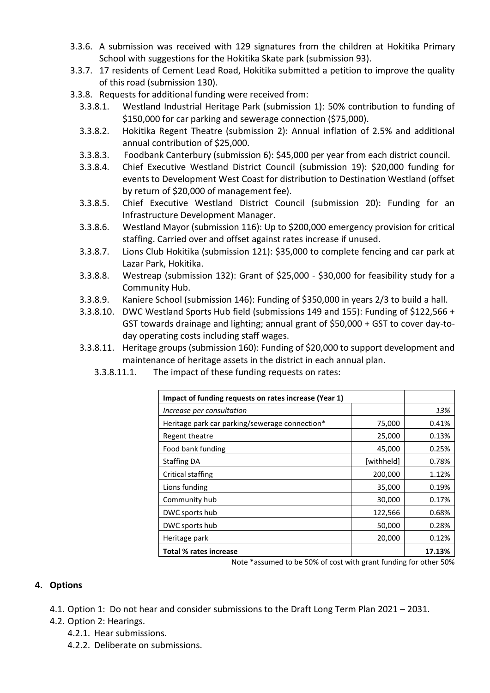- 3.3.6. A submission was received with 129 signatures from the children at Hokitika Primary School with suggestions for the Hokitika Skate park (submission 93).
- 3.3.7. 17 residents of Cement Lead Road, Hokitika submitted a petition to improve the quality of this road (submission 130).
- 3.3.8. Requests for additional funding were received from:
	- 3.3.8.1. Westland Industrial Heritage Park (submission 1): 50% contribution to funding of \$150,000 for car parking and sewerage connection (\$75,000).
	- 3.3.8.2. Hokitika Regent Theatre (submission 2): Annual inflation of 2.5% and additional annual contribution of \$25,000.
	- 3.3.8.3. Foodbank Canterbury (submission 6): \$45,000 per year from each district council.
	- 3.3.8.4. Chief Executive Westland District Council (submission 19): \$20,000 funding for events to Development West Coast for distribution to Destination Westland (offset by return of \$20,000 of management fee).
	- 3.3.8.5. Chief Executive Westland District Council (submission 20): Funding for an Infrastructure Development Manager.
	- 3.3.8.6. Westland Mayor (submission 116): Up to \$200,000 emergency provision for critical staffing. Carried over and offset against rates increase if unused.
	- 3.3.8.7. Lions Club Hokitika (submission 121): \$35,000 to complete fencing and car park at Lazar Park, Hokitika.
	- 3.3.8.8. Westreap (submission 132): Grant of \$25,000 \$30,000 for feasibility study for a Community Hub.
	- 3.3.8.9. Kaniere School (submission 146): Funding of \$350,000 in years 2/3 to build a hall.
	- 3.3.8.10. DWC Westland Sports Hub field (submissions 149 and 155): Funding of \$122,566 + GST towards drainage and lighting; annual grant of \$50,000 + GST to cover day-today operating costs including staff wages.
	- 3.3.8.11. Heritage groups (submission 160): Funding of \$20,000 to support development and maintenance of heritage assets in the district in each annual plan.
		- 3.3.8.11.1. The impact of these funding requests on rates:

| Impact of funding requests on rates increase (Year 1)                                                                                                                                                                                                             |                             |        |
|-------------------------------------------------------------------------------------------------------------------------------------------------------------------------------------------------------------------------------------------------------------------|-----------------------------|--------|
| Increase per consultation                                                                                                                                                                                                                                         |                             | 13%    |
| Heritage park car parking/sewerage connection*                                                                                                                                                                                                                    | 75,000                      | 0.41%  |
| Regent theatre                                                                                                                                                                                                                                                    | 25,000                      | 0.13%  |
| Food bank funding                                                                                                                                                                                                                                                 | 45,000                      | 0.25%  |
| <b>Staffing DA</b>                                                                                                                                                                                                                                                | [withheld]                  | 0.78%  |
| Critical staffing                                                                                                                                                                                                                                                 | 200,000                     | 1.12%  |
| Lions funding                                                                                                                                                                                                                                                     | 35,000                      | 0.19%  |
| Community hub                                                                                                                                                                                                                                                     | 30,000                      | 0.17%  |
| DWC sports hub                                                                                                                                                                                                                                                    | 122,566                     | 0.68%  |
| DWC sports hub                                                                                                                                                                                                                                                    | 50,000                      | 0.28%  |
| Heritage park                                                                                                                                                                                                                                                     | 20,000                      | 0.12%  |
| <b>Total % rates increase</b><br>$\mathbf{r}$ . The matrix of the contract of the contract of the contract of the contract of the contract of the contract of the contract of the contract of the contract of the contract of the contract of the contract of the | $\sim$ $\sim$ $\sim$ $\sim$ | 17.13% |

Note \*assumed to be 50% of cost with grant funding for other 50%

#### **4. Options**

- 4.1. Option 1: Do not hear and consider submissions to the Draft Long Term Plan 2021 2031.
- 4.2. Option 2: Hearings.
	- 4.2.1. Hear submissions.
	- 4.2.2. Deliberate on submissions.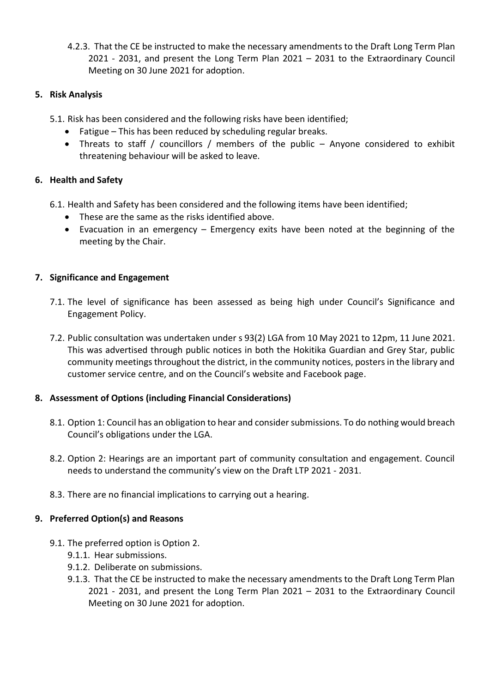4.2.3. That the CE be instructed to make the necessary amendments to the Draft Long Term Plan 2021 - 2031, and present the Long Term Plan 2021 – 2031 to the Extraordinary Council Meeting on 30 June 2021 for adoption.

## **5. Risk Analysis**

- 5.1. Risk has been considered and the following risks have been identified;
	- Fatigue This has been reduced by scheduling regular breaks.
	- Threats to staff / councillors / members of the public Anyone considered to exhibit threatening behaviour will be asked to leave.

### **6. Health and Safety**

- 6.1. Health and Safety has been considered and the following items have been identified;
	- These are the same as the risks identified above.
	- Evacuation in an emergency Emergency exits have been noted at the beginning of the meeting by the Chair.

### **7. Significance and Engagement**

- 7.1. The level of significance has been assessed as being high under Council's Significance and Engagement Policy.
- 7.2. Public consultation was undertaken under s 93(2) LGA from 10 May 2021 to 12pm, 11 June 2021. This was advertised through public notices in both the Hokitika Guardian and Grey Star, public community meetings throughout the district, in the community notices, posters in the library and customer service centre, and on the Council's website and Facebook page.

### **8. Assessment of Options (including Financial Considerations)**

- 8.1. Option 1: Council has an obligation to hear and consider submissions. To do nothing would breach Council's obligations under the LGA.
- 8.2. Option 2: Hearings are an important part of community consultation and engagement. Council needs to understand the community's view on the Draft LTP 2021 - 2031.
- 8.3. There are no financial implications to carrying out a hearing.

### **9. Preferred Option(s) and Reasons**

- 9.1. The preferred option is Option 2.
	- 9.1.1. Hear submissions.
	- 9.1.2. Deliberate on submissions.
	- 9.1.3. That the CE be instructed to make the necessary amendments to the Draft Long Term Plan 2021 - 2031, and present the Long Term Plan 2021 – 2031 to the Extraordinary Council Meeting on 30 June 2021 for adoption.